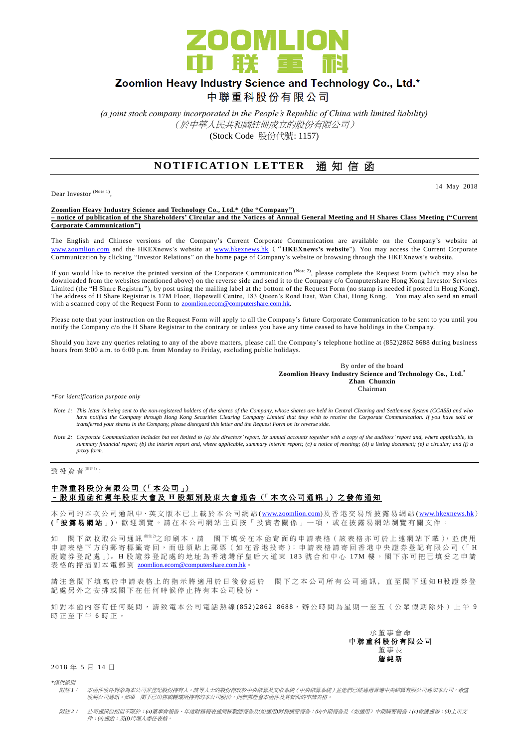

# Zoomlion Heavy Industry Science and Technology Co., Ltd.\*

中聯重科股份有限公司

*(a joint stock company incorporated in the People's Republic of China with limited liability)* (於中華人民共和國註冊成立的股份有限公司) (Stock Code 股份代號: 1157)

### **NOTIFICATION LETTER 通知信函**

Dear Investor (Note 1),

14 May 2018

**Zoomlion Heavy Industry Science and Technology Co., Ltd.\* (the "Company") – notice of publication of the Shareholders' Circular and the Notices of Annual General Meeting and H Shares Class Meeting ("Current Corporate Communication")**

The English and Chinese versions of the Company's Current Corporate Communication are available on the Company's website at [www.zoomlion.com](http://www.zoomlion.com/) and the HKEXnews's website at [www.hkexnews.hk](http://www.hkexnews.hk/) ("**HKEXnews's website**"). You may access the Current Corporate Communication by clicking "Investor Relations" on the home page of Company's website or browsing through the HKEXnews's website.

If you would like to receive the printed version of the Corporate Communication  $^{(Note 2)}$ , please complete the Request Form (which may also be downloaded from the websites mentioned above) on the reverse side and send it to the Company c/o Computershare Hong Kong Investor Services Limited (the "H Share Registrar"), by post using the mailing label at the bottom of the Request Form (no stamp is needed if posted in Hong Kong). The address of H Share Registrar is 17M Floor, Hopewell Centre, 183 Queen's Road East, Wan Chai, Hong Kong. You may also send an email with a scanned copy of the Request Form to **zoomlion.ecom@computershare.com.hk** 

Please note that your instruction on the Request Form will apply to all the Company's future Corporate Communication to be sent to you until you notify the Company c/o the H Share Registrar to the contrary or unless you have any time ceased to have holdings in the Compa ny.

Should you have any queries relating to any of the above matters, please call the Company's telephone hotline at (852)2862 8688 during business hours from 9:00 a.m. to 6:00 p.m. from Monday to Friday, excluding public holidays.

> By order of the board **Zoomlion Heavy Industry Science and Technology Co., Ltd.\* Zhan Chunxin** Chairman

*\*For identification purpose only*

- Note 1: This letter is being sent to the non-registered holders of the shares of the Company, whose shares are held in Central Clearing and Settlement System (CCASS) and who<br>have notified the Company through Hong Kong Secu *transferred your shares in the Company, please disregard this letter and the Request Form on its reverse side.*
- *Note 2: Corporate Communication includes but not limited to (a) the directors' report, its annual accounts together with a copy of the auditors' report and, where applicable, its summary financial report; (b) the interim report and, where applicable, summary interim report; (c) a notice of meeting; (d) a listing document; (e) a circular; and (f) a proxy form.*

致投資者 $<sup>(Mät1)</sup>$ :</sup>

#### 中聯重科股份有限公司 (「本公司」) – 股 東 通函和 週 年 股 東 大 會 及 **H** 股 類 別 股 東 大 會 通 告 (「 本 次 公 司 通 訊 」) 之 發 佈 通 知

本公司的 本 次 公 司 通 訊 中、英 文 版 本 已 上 載於本 公 司 網 站 [\(www.zoomlion.com\)](http://www.zoomlion.com/)及香港交易所披露易網站 [\(www.hkexnews.hk](http://www.hkexnews.hk/)) **(**「披露易網站 」**)**,歡迎瀏覽。 請 在 本 公 司 網 站 主 頁 按 「 投 資 者 關 係 」 一 項 , 或 在 披 露 易 網 站 瀏 覽 有 關 文 件 。

如 閣下欲收取公司通訊<sup>《註2</sup>之印刷本,請 閣下填妥在本函背面的申請表格(該表格亦可於上述網站下載),並使用 申請表格下方的郵寄標籤寄回,而毋須貼上郵票(如在香港投寄);申請表格請寄回香港中央證券登記有限公司(「H 股證券登記處 」)。H股證券登記處的地址為香港灣仔皇后大道東 183號合和中心 17M樓。閣下亦可把已填妥之申請 表格的掃描副本電郵到 [zoomlion.ecom@computershare.com.hk](mailto:zoomlion.ecom@computershare.com.hk)。

請 注 意 閣 下 埴 寫 於 申 譜 表 格 上 的 指 示 將 滴 用 於 日 後 發 送 於 閣 下 之 本 公 司 所 有 公 司 诵 訊 , 直 至 閣 下 诵 知 H 股 證 券 登 記處另外之安排或閣下在任何時候停止持有本公司股份。

如對本函內容有任何疑問,請致電本公司電話熱線(852) 2862 8688,辦公時間為星期一至五(公眾假期除外)上午 9 時正至下午 6 時正。

> 承董事會命 中 聯 重 科 股 份 有限公司 董事長 詹 純 新

2018 年 5 月 14 日

*\**僅供識別

附註 *1*: 本函件收件對象為本公司非登記股份持有人。該等人士的股份存放於中央結算及交收系統(中央結算系統)並他們已經通過香港中央結算有限公司通知本公司,希望 收到公司通訊。如果 閣下已出售或轉讓所持有的本公司股份,則無需理會本函件及其背面的申請表格。

附註 *2*: 公司通訊包括但不限於:*(a)*董事會報告、年度財務報表連同核數師報告及*(*如適用*)*財務摘要報告;*(b)*中期報告及(如適用)中期摘要報告;*(c)*會議通告;*(d)*上市文 件;*(e)*通函;及*(f)*代理人委任表格。